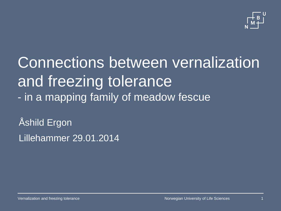

Connections between vernalization and freezing tolerance - in a mapping family of meadow fescue

Åshild Ergon Lillehammer 29.01.2014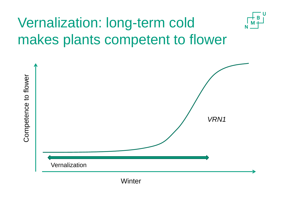## Vernalization: long-term cold makes plants competent to flower

U



**Winter**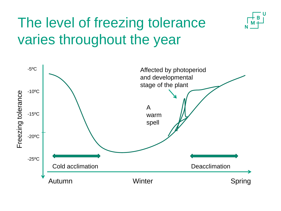

## The level of freezing tolerance varies throughout the year

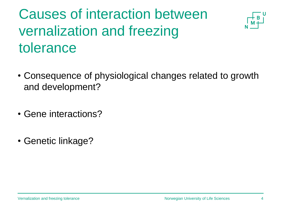## Causes of interaction between vernalization and freezing tolerance



- Consequence of physiological changes related to growth and development?
- Gene interactions?
- Genetic linkage?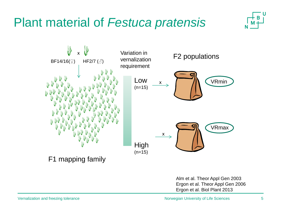#### Plant material of *Festuca pratensis*





Alm et al. Theor Appl Gen 2003 Ergon et al. Theor Appl Gen 2006 Ergon et al. Biol Plant 2013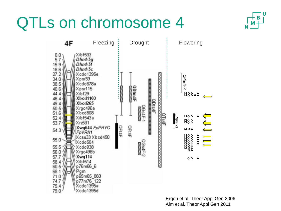## QTLs on chromosome 4





Ergon et al. Theor Appl Gen 2006 Alm et al. Theor Appl Gen 2011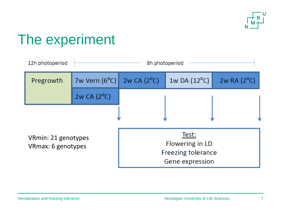

### The experiment

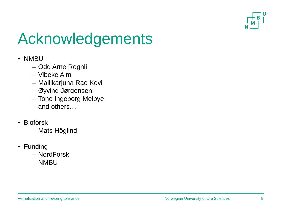

# Acknowledgements

- NMBU
	- Odd Arne Rognli
	- Vibeke Alm
	- Mallikarjuna Rao Kovi
	- Øyvind Jørgensen
	- Tone Ingeborg Melbye
	- and others…
- Bioforsk
	- Mats Höglind
- Funding
	- NordForsk
	- NMBU